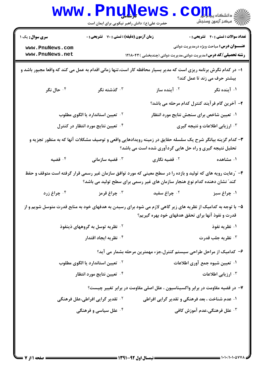|                                                                                                                                                                                             | <b>www.PnuNews</b><br>حضرت علی(ع): دانش راهبر نیکویی برای ایمان است                                           |                                                                               | الله دانشگاه پیاه <mark>ی</mark><br>الله مرکز آزمون وسنجش                                      |
|---------------------------------------------------------------------------------------------------------------------------------------------------------------------------------------------|---------------------------------------------------------------------------------------------------------------|-------------------------------------------------------------------------------|------------------------------------------------------------------------------------------------|
| <b>سری سوال :</b> یک ۱<br>www.PnuNews.com<br>www.PnuNews.net                                                                                                                                | زمان آزمون (دقیقه) : تستی : 70 گشریحی : 0                                                                     | <b>رشته تحصیلی/کد درس:</b> مدیریت دولتی،مدیریت دولتی (چندبخشی )۱۲۱۸۰۴۳        | <b>تعداد سوالات : تستی : 40 ٪ تشریحی : 0</b><br><b>عنـــوان درس:</b> مباحث ویژه درمدیریت دولتی |
| ا– در کدام نگرش برنامه ریزی است که مدیر بسیار محافظه کار است،تنها زمانی اقدام به عمل می کند که واقعا مجبور باشد و<br>بیشتر حرف می زند تا عمل کند؟                                           |                                                                                                               |                                                                               |                                                                                                |
| ۰۴ حال نگر                                                                                                                                                                                  | گذشته نگر $\cdot$                                                                                             | ۰ <sup>۲</sup> آینده ساز                                                      | ۰۱ آینده نگر                                                                                   |
|                                                                                                                                                                                             |                                                                                                               |                                                                               | ۲- آخرین گام فرآیند کنترل کدام مرحله می باشد؟                                                  |
|                                                                                                                                                                                             | <sup>۲</sup> ۰ تعیین استاندارد یا الگوی مطلوب                                                                 |                                                                               | ۰۱ تعیین شاخص برای سنجش نتایج مورد انتظار                                                      |
|                                                                                                                                                                                             | <sup>۴</sup> . تعیین نتایج مورد انتظار در کنترل                                                               |                                                                               | ۰۳ ارزیابی اطلاعات و نتیجه گیری                                                                |
|                                                                                                                                                                                             | ۳- کدام گزینه بیانگر شرح یک سلسله حقایق در زمینه رویدادهایی واقعی و توصیف مشکلات آنها که به منظور تجزیه و     | تحلیل نتیجه گیری و راه حل هایی گردآوری شده است می باشد؟                       |                                                                                                |
| قضيه $\cdot$ ۴                                                                                                                                                                              | قضیه سازمانی $\cdot$                                                                                          | ۰ <sup>۲</sup> قضیه نگاری                                                     | ۰۱ مشاهده                                                                                      |
| ۴- ″رعایت رویه های که تولید و بازده را در سطح معینی که مورد توافق سازمان غیر رسمی قرار گرفته است متوقف و حفظ<br>کند ؒ نشان دهنده کدام نوع هنجار سازمان های غیر رسمی برای سطح تولید می باشد؟ |                                                                                                               |                                                                               |                                                                                                |
| ۰ <sup>۴</sup> چراغ زرد                                                                                                                                                                     | ۰ <sup>۳</sup> چراغ قرمز                                                                                      | ۰ <sup>۲</sup> چراغ سفید                                                      | ۰۱ چراغ سبز                                                                                    |
|                                                                                                                                                                                             | ۵– با توجه به کدامیک از نظریه های زیر گاهی لازم می شود برای رسیدن به هدفهای خود به منابع قدرت متوسل شویم و از | قدرت و نفوذ آنها برای تحقق هدفهای خود بهره گیریم؟                             |                                                                                                |
|                                                                                                                                                                                             | <sup>۲</sup> ۰ نظریه توسل به گروههای ذینفوذ                                                                   |                                                                               | ۰۱ نظریه نفوذ                                                                                  |
|                                                                                                                                                                                             | ۰ <sup>۴</sup> نظریه ایجاد اقتدار                                                                             |                                                                               | <b>4 . نظريه جلب قدرت</b>                                                                      |
| ۶– کدامیک از مراحل طراحی سیستم کنترل،جزء مهمترین مرحله بشمار می آید؟                                                                                                                        |                                                                                                               |                                                                               |                                                                                                |
|                                                                                                                                                                                             | <sup>۲</sup> ۰ تعیین استاندارد یا الگوی مطلوب                                                                 |                                                                               | ۰۱ تعیین شیوه جمع آوری اطلاعات                                                                 |
|                                                                                                                                                                                             | ۰۴ تعیین نتایج مورد انتظار                                                                                    |                                                                               | ۰۳ ارزیابی اطلاعات                                                                             |
|                                                                                                                                                                                             |                                                                                                               | ۷– در قضیه مقاومت در برابر واکسیناسیون ، علل اصلی مقاومت در برابر تغییر چیست؟ |                                                                                                |
|                                                                                                                                                                                             | <sup>۲</sup> ۰ تقدیر گرایی افراطی،علل فرهنگی                                                                  | ۰۱ عدم شناخت ، بعد فرهنگی و تقدیر گرایی افراطی                                |                                                                                                |
|                                                                                                                                                                                             | ۰۴ علل سیاسی و فرهنگی                                                                                         |                                                                               | ۰ <sup>۳</sup> علل فرهنگی،عدم آموزش کافی                                                       |
|                                                                                                                                                                                             |                                                                                                               |                                                                               |                                                                                                |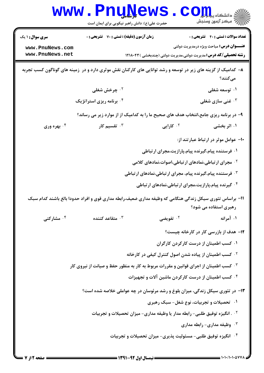| <b>WWW.</b>                                                                                    | <b>FUUNEWS</b><br>حضرت علی(ع): دانش راهبر نیکویی برای ایمان است                                                |                                                                                   | دانشگاه پی <mark>ام</mark><br>رِ ۖ مرڪز آزمون وسنڊش                                            |
|------------------------------------------------------------------------------------------------|----------------------------------------------------------------------------------------------------------------|-----------------------------------------------------------------------------------|------------------------------------------------------------------------------------------------|
| <b>سری سوال : ۱ یک</b>                                                                         | <b>زمان آزمون (دقیقه) : تستی : 70 قشریحی : 0</b>                                                               |                                                                                   | <b>تعداد سوالات : تستي : 40 - تشريحي : 0</b><br><b>عنـــوان درس:</b> مباحث ویژه درمدیریت دولتی |
| www.PnuNews.com<br>www.PnuNews.net                                                             |                                                                                                                | <b>رشته تحصیلی/کد درس:</b> مدیریت دولتی،مدیریت دولتی (چندبخشی )۱۲۱۸۰۴۳            |                                                                                                |
|                                                                                                | ۸– کدامیک از گزینه های زیر در توسعه و رشد توانایی های کارکنان نقش موثری دارد و در ٔزمینه های گوناگون کسب تجربه |                                                                                   | مىكنند؟                                                                                        |
|                                                                                                | ۰ <sup>۲</sup> چرخش شغلی                                                                                       |                                                                                   | ۰۱ توسعه شغلی                                                                                  |
|                                                                                                | ۰۴ برنامه ریزی استراتژیک                                                                                       |                                                                                   | ۰۳ غنی سازی شغلی                                                                               |
|                                                                                                | ۹- در برنامه ریزی جامع،انتخاب هدف های صحیح ما را به کدامیک از از موارد زیر می رساند؟                           |                                                                                   |                                                                                                |
| ۰۴ بهره وری                                                                                    | تقسیم کار $\cdot$ "                                                                                            | ۰۲ کارایی                                                                         | ۰۱ اثر بخشی                                                                                    |
|                                                                                                |                                                                                                                |                                                                                   | ۱۰- عوامل موثر در ارتباط عبارتند از:                                                           |
|                                                                                                |                                                                                                                | ۰۱ فرستنده پیام،گیرنده پیام،پارازیت،مجرای ارتباطی                                 |                                                                                                |
|                                                                                                |                                                                                                                | <sup>۲.</sup> مجرای ارتباطی،نمادهای ارتباطی،اصوات،نمادهای کلامی                   |                                                                                                |
|                                                                                                |                                                                                                                | ۰ <sup>۳</sup> فرستنده پیام،گیرنده پیام، مجرای ارتباطی،نمادهای ارتباطی            |                                                                                                |
|                                                                                                |                                                                                                                | <sup>۰۴</sup> گیرنده پیام،پارازیت،مجرای ارتباطی،نمادهای ارتباطی                   |                                                                                                |
|                                                                                                | 1۱– براساس تئوری سیکل زندگی هنگامی که وظیفه مداری ضعیف،رابطه مداری قوی و افراد حدودا بالغ باشند کدام سبک       |                                                                                   | رهبری استفاده می شود؟                                                                          |
| ۰۴ مشارکت <i>ی</i>                                                                             | ن متقاعد كننده $\cdot$                                                                                         | <b>7. تفویضی</b>                                                                  | ۰۱ آمرانه                                                                                      |
|                                                                                                |                                                                                                                |                                                                                   | ۱۲– هدف از بازرسی کار در کارخانه چیست؟                                                         |
|                                                                                                |                                                                                                                | ۰۱ کسب اطمینان از درست کارکردن کارگران                                            |                                                                                                |
|                                                                                                |                                                                                                                | <sup>۲ .</sup> کسب اطمینان از پیاده شدن اصول کنترل کیفی در کارخانه                |                                                                                                |
| <b>۳ . کسب اطمینان از اجرای قوانین و مقررات مربوط به کار به منظور حفظ و صیانت از نیروی کار</b> |                                                                                                                |                                                                                   |                                                                                                |
| ۰۴ کسب اطمینان از درست کارکردن ماشین آلات و تجهیزات                                            |                                                                                                                |                                                                                   |                                                                                                |
|                                                                                                | ۱۳- در تئوری سیکل زندگی، میزان بلوغ و رشد مرئوسان در چه عواملی خلاصه شده است؟                                  |                                                                                   |                                                                                                |
|                                                                                                |                                                                                                                | ۰۱ تحصیلات و تجربیات، نوع شغل- سبک رهبری                                          |                                                                                                |
|                                                                                                |                                                                                                                | <b>10 . انگیزه توفیق طلبی- رابطه مدار یا وظیفه مداری- میزان تحصیلات و تجربیات</b> |                                                                                                |
|                                                                                                |                                                                                                                |                                                                                   | ۰۳ وظیفه مداری- رابطه مداری                                                                    |
|                                                                                                |                                                                                                                | ۰۴ انگیزه توفیق طلبی- مسئولیت پذیری- میزان تحصیلات و تجربیات                      |                                                                                                |
|                                                                                                |                                                                                                                |                                                                                   |                                                                                                |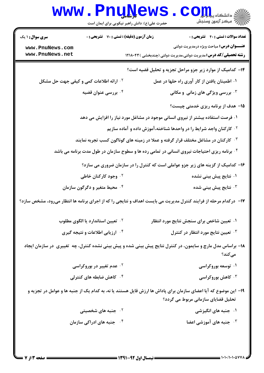|                                    | www.PnuNews<br>حضرت علی(ع): دانش راهبر نیکویی برای ایمان است                                            | الاد دانشگاه پیا برای<br>الا دانشگاه پیا برای<br>الا                                                                                                   |
|------------------------------------|---------------------------------------------------------------------------------------------------------|--------------------------------------------------------------------------------------------------------------------------------------------------------|
| <b>سری سوال : ۱ یک</b>             | <b>زمان آزمون (دقیقه) : تستی : 70 گشریحی : 0</b>                                                        | <b>تعداد سوالات : تستی : 40 - تشریحی : 0</b>                                                                                                           |
| www.PnuNews.com<br>www.PnuNews.net |                                                                                                         | <b>عنـــوان درس:</b> مباحث ویژه درمدیریت دولتی<br><b>رشته تحصیلی/کد درس:</b> مدیریت دولتی،مدیریت دولتی (چندبخشی ) ۱۲۱۸۰۴۳                              |
|                                    |                                                                                                         | ۱۴- کدامیک از موارد زیر جزو مراحل تجزیه و تحلیل قضیه است؟                                                                                              |
|                                    | <b>1. ارائه اطلاعات کمی و کیفی جهت حل مشکل</b>                                                          | ۰۱ اطمینان یافتن از کار آوری راه حلها در عمل                                                                                                           |
|                                    | ۰۴ بررسی عنوان قضیه                                                                                     | ۰۳ بررسی ویژگی های زمانی و مکانی                                                                                                                       |
|                                    |                                                                                                         | 1۵– هدف از برنامه ریزی خدمتی چیست؟                                                                                                                     |
|                                    | ۰۱ فرصت استفاده بیشتر از نیروی انسانی موجود در مشاغل مورد نیاز را افزایش می دهد                         |                                                                                                                                                        |
|                                    |                                                                                                         | <sup>۲.</sup> کارکنان واجد شرایط را در واحدها شناخته،آموزش داده و آماده سازیم                                                                          |
|                                    | <sup>۰۳ ک</sup> ارکنان در مشاغل مختلف قرار گرفته و عملا در زمینه های گوناگون کسب تجربه نمایند           |                                                                                                                                                        |
|                                    | <sup>۴.</sup> برنامه ریزی احتیاجات نیروی انسانی در تمامی رده ها و سطوح سازمان در طول مدت برنامه می باشد |                                                                                                                                                        |
|                                    |                                                                                                         | ۱۶- کدامیک از گزینه های زیر جزو عواملی است که کنترل را در سازمان ضروری می سازد؟                                                                        |
|                                    | ۰ <sup>۲</sup> وجود کارکنان خاطی                                                                        | ۰۱ نتایج پیش بینی نشده                                                                                                                                 |
|                                    | ۰۴ محیط متغیر و دگرگون سازمان                                                                           | نتايج پيش بينى شده $\cdot$                                                                                                                             |
|                                    |                                                                                                         | ۱۷- درکدام مرحله از فرایند کنترل مدیریت می بایست اهداف و نتایجی را که از اجرای برنامه ها انتظار میرود، مشخص سازد؟                                      |
|                                    | <sup>۲</sup> ۰ تعیین استاندارد یا الگوی مطلوب                                                           | ۰۱ تعیین شاخص برای سنجش نتایج مورد انتظار                                                                                                              |
|                                    | <b>۴ ارزیابی اطلاعات و نتیجه گیری</b>                                                                   | ۰ <sup>۳</sup> تعیین نتایج مورد انتظار در کنترل                                                                                                        |
|                                    |                                                                                                         | ۱۸– براساس مدل مارچ و سایمون، در کنترل نتایج پیش بینی شده و پیش بینی نشده کنترل، چه  تغییری  در سازمان ایجاد<br>مىكند؟                                 |
|                                    | <sup>۲</sup> ۰ عدم تغییر در بوروکراسی                                                                   | ۰۱ توسعه بوروکراسی                                                                                                                                     |
|                                    | ۰۴ کاهش ضابطه های کنترلی                                                                                | ۰۳ کاهش بوروکراسی                                                                                                                                      |
|                                    |                                                                                                         | ۱۹- این موضوع که آیا اعضای سازمان برای پاداش ها ارزش قایل هستند یا نه، به کدام یک از جنبه ها و عوامل در تجزیه و<br>تحلیل قضایای سازمانی مربوط می گردد؟ |
|                                    | ۰ <sup>۲</sup> جنبه های شخصیتی                                                                          | ۰۱ جنبه های انگیزشی                                                                                                                                    |
|                                    | <b>۴ ـ جنبه های ادراکی سازمان</b>                                                                       | <b>4 - جنبه های آموزشی اعضا</b>                                                                                                                        |
|                                    |                                                                                                         |                                                                                                                                                        |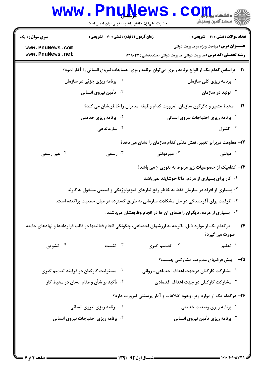|                                                                                                | <b>www.PnuNews</b><br>حضرت علی(ع): دانش راهبر نیکویی برای ایمان است |                                                                                                            | ر آمرڪز آزمون وسنڊش                            |
|------------------------------------------------------------------------------------------------|---------------------------------------------------------------------|------------------------------------------------------------------------------------------------------------|------------------------------------------------|
| <b>سری سوال :</b> ۱ یک                                                                         | <b>زمان آزمون (دقیقه) : تستی : 70 قشریحی : 0</b>                    |                                                                                                            | <b>تعداد سوالات : تستی : 40 - تشریحی : 0</b>   |
| www.PnuNews.com<br>www.PnuNews.net                                                             |                                                                     | <b>رشته تحصیلی/کد درس:</b> مدیریت دولتی،مدیریت دولتی (چندبخشی )۱۲۱۸۰۴۳                                     | <b>عنـــوان درس:</b> مباحث ویژه درمدیریت دولتی |
| +۲- براساس کدام یک از انواع برنامه ریزی میتوان برنامه ریزی احتیاجات نیروی انسانی را آغاز نمود؟ |                                                                     |                                                                                                            |                                                |
|                                                                                                | <sup>۲ .</sup> برنامه ریزی جزئی در سازمان                           |                                                                                                            | ۰۱ برنامه ریزی کلی سازمان                      |
|                                                                                                | ۰۴ تأمین نیروی انسانی                                               |                                                                                                            | تولید در سازمان $\cdot$                        |
|                                                                                                |                                                                     | <b>۲۱</b> - محیط متغیر و دگرگون سازمان، ضرورت کدام وظیفه ًمدیران را خاطرنشان می کند؟                       |                                                |
|                                                                                                | <sup>۲ .</sup> برنامه ریزی خدمتی                                    |                                                                                                            | ۰۱ برنامه ریزی احتیاجات نیروی انسانی           |
|                                                                                                | ۰ <sup>۴</sup> سازماندهی                                            |                                                                                                            | کنترل $\cdot$                                  |
|                                                                                                |                                                                     | <b>۲۲</b> - مقاومت دربرابر تغییر، نقش منفی کدام سازمان را نشان می دهد؟                                     |                                                |
| ۰۴ غیر رسمی                                                                                    | رسمی $\cdot^{\mathsf{r}}$                                           | ۰ <sup>۲</sup> غیردولتی                                                                                    | ۰۱ دولتی                                       |
|                                                                                                |                                                                     | <b>۲۳</b> - کدامیک از خصوصیات زیر مربوط به تئوری y می باشد؟                                                |                                                |
|                                                                                                |                                                                     | ۰۱ کار برای بسیاری از مردم، ذاتا خوشایند نمیباشد                                                           |                                                |
|                                                                                                |                                                                     | <sup>۲ .</sup> بسیاری از افراد در سازمان فقط به خاطر رفع نیازهای فیزیولوژیکی و امنیتی مشغول به کارند       |                                                |
|                                                                                                |                                                                     | ۰ <sup>۳ .</sup> ظرفیت برای آفرینندگی در حل مشکلات سازمانی به طریق گسترده در میان جمعیت پراکنده است.       |                                                |
|                                                                                                |                                                                     | ۰۴ بسیاری از مردم، دیگران راهنمای آن ها در انجام وظایفشان میباشند.                                         |                                                |
|                                                                                                |                                                                     | درکدام یک از موارد ذیل، باتوجه به ارزشهای اجتماعی، چگونگی انجام فعالیتها در قالب قراردادها و نهادهای جامعه | -24<br>صورت می گیرد؟                           |
| ۰۴ تشويق                                                                                       | ۰۳ تثبیت                                                            | ۰ <sup>۲</sup> تصمیم گیری                                                                                  | ۰۱ تعلیم                                       |
|                                                                                                |                                                                     |                                                                                                            | <b>۲۵</b> - پیش فرضهای مدیریت مشارکتی چیست؟    |
|                                                                                                | <sup>۲ .</sup> مسئولیت کارکنان در فرایند تصمیم گیری                 | ۰۱ مشارکت کارکنان درجهت اهداف اجتماعی- روانی                                                               |                                                |
|                                                                                                | <sup>۴.</sup> تأکید بر شأن و مقام انسان در محیط کار                 | ۰۳ مشارکت کارکنان در جهت اهداف اقتصادی                                                                     |                                                |
|                                                                                                |                                                                     | ۲۶- درکدام یک از موارد زیر، وجود اطلاعات و آمار پرسنلی ضرورت دارد؟                                         |                                                |
|                                                                                                | <b>7 . برنامه ریزی نیروی انسانی</b>                                 |                                                                                                            | ۰۱ برنامه ریزی وضعیت خدمتی                     |
|                                                                                                | ۰۴ برنامه ریزی احتیاجات نیروی انسانی                                |                                                                                                            | ۰ <sup>۳</sup> برنامه ریزی تأمین نیروی انسانی  |
|                                                                                                |                                                                     |                                                                                                            |                                                |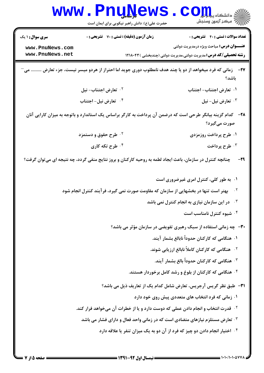|                                                       | <b>LLY</b><br>حضرت علی(ع): دانش راهبر نیکویی برای ایمان است                                                          | دانشگاه پ <b>یا ج</b><br>7' مرڪز آزمون وسنڊش                                                                                                                              |
|-------------------------------------------------------|----------------------------------------------------------------------------------------------------------------------|---------------------------------------------------------------------------------------------------------------------------------------------------------------------------|
| سری سوال : ۱ یک<br>www.PnuNews.com<br>www.PnuNews.net | زمان آزمون (دقیقه) : تستی : 70 گشریحی : 0                                                                            | <b>تعداد سوالات : تستي : 40 - تشريحي : 0</b><br><b>عنـــوان درس:</b> مباحث ویژه درمدیریت دولتی<br><b>رشته تحصیلی/کد درس:</b> مدیریت دولتی،مدیریت دولتی (چندبخشی ) ۱۲۱۸۰۴۳ |
|                                                       | <b>۲۷</b> - در زمانی که فرد میخواهد از دو یا چند هدف نامطلوب دوری جوید اما احتراز از هردو میسر نیست، جزء تعارض  می   | باشد؟                                                                                                                                                                     |
|                                                       | ۰۲ تعارض اجتناب- نیل                                                                                                 | ۰۱ تعارض اجتناب- اجتناب                                                                                                                                                   |
|                                                       | ۰ <sup>۴</sup> تعارض نیل- اجتناب                                                                                     | ۰ <sup>۳</sup> تعارض نیل- نیل                                                                                                                                             |
|                                                       | <b>۳۸</b> - کدام گزینه بیانگر طرحی است که درضمن آن پرداخت به کارگر براساس یک استاندارد و باتوجه به میزان کارایی آنان | صورت میگیرد؟                                                                                                                                                              |
|                                                       | <sup>۲.</sup> طرح حقوق و دستمزد                                                                                      | ۰۱ طرح پرداخت روزمزدی                                                                                                                                                     |
|                                                       | ۰۴ طرح تکه کاری                                                                                                      | ۰ <sup>۳</sup> طرح پرداخت                                                                                                                                                 |
|                                                       | چنانچه کنترل در سازمان، باعث ایجاد لطمه به روحیه کارکنان و بروز نتایج منفی گردد، چه نتیجه ای میتوان گرفت؟            | -29                                                                                                                                                                       |
|                                                       |                                                                                                                      | ۰۱ به طور کلی، کنترل امری غیرضروری است                                                                                                                                    |
|                                                       | بهتر است تنها در بخشهایی از سازمان که مقاومت صورت نمی گیرد، فرآیند کنترل انجام شود                                   | $\cdot$ ٢                                                                                                                                                                 |
|                                                       |                                                                                                                      | $\cdot$ $\mathsf{r}$<br>در این سازمان نیازی به انجام کنترل نمی باشد                                                                                                       |
|                                                       |                                                                                                                      | ۰ <sup>۴</sup> شیوه کنترل نامناسب است                                                                                                                                     |
|                                                       |                                                                                                                      | <b>۳۰</b> - چه زمانی استفاده از سبک رهبری تفویضی در سازمان مؤثر می باشد؟                                                                                                  |
|                                                       |                                                                                                                      | ۰۱ هنگامی که کارکنان حدوداً نابالغ بشمار آیند.                                                                                                                            |
|                                                       |                                                                                                                      | <sup>۲</sup> ۰ هنگامی که کارکنان کاملاً نابالغ ارزیابی شوند.                                                                                                              |
|                                                       |                                                                                                                      | ۰۳ هنگامی که کارکنان حدوداً بالغ بشمار آیند.                                                                                                                              |
|                                                       |                                                                                                                      | ۰۴ هنگامی که کارکنان از بلوغ و رشد کامل برخوردار هستند.                                                                                                                   |
|                                                       |                                                                                                                      | <b>٣١</b> - طبق نظر گریس آرجریس، تعارض شامل کدام یک از تعاریف ذیل می باشد؟                                                                                                |
|                                                       |                                                                                                                      | ۰۱ زمانی که فرد انتخاب های متعددی پیش روی خود دارد                                                                                                                        |
|                                                       | <sup>۲ .</sup> قدرت انتخاب و انجام دادن عملی که دوست دارد و یا از خطرات آن میخواهد فرار کند.                         |                                                                                                                                                                           |
|                                                       | ۰ <sup>۳ ت</sup> عارض مستلزم نیازهای متضادی است که در زمانی واحد فعال و دارای فشار می باشد                           |                                                                                                                                                                           |
|                                                       |                                                                                                                      | <sup>۴</sup> گاختیار انجام دادن دو چیز که فرد از آن دو به یک میزان تنفر یا علاقه دارد                                                                                     |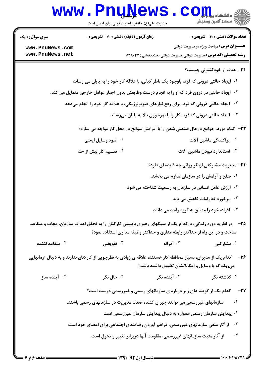| <b>WWW</b>                                                   | • LIIQTA<br>حضرت علی(ع): دانش راهبر نیکویی برای ایمان است                                                                                                                                      | د دانشکاه پ <b>یا پایل</b><br>رِ ۖ مرڪز آزمون وسنڊش                                                                                                                    |                          |
|--------------------------------------------------------------|------------------------------------------------------------------------------------------------------------------------------------------------------------------------------------------------|------------------------------------------------------------------------------------------------------------------------------------------------------------------------|--------------------------|
| <b>سری سوال :</b> ۱ یک<br>www.PnuNews.com<br>www.PnuNews.net | <b>زمان آزمون (دقیقه) : تستی : 70 ٪ تشریحی : 0</b>                                                                                                                                             | <b>تعداد سوالات : تستی : 40 قشریحی : 0</b><br><b>عنـــوان درس:</b> مباحث ویژه درمدیریت دولتی<br><b>رشته تحصیلی/کد درس:</b> مدیریت دولتی،مدیریت دولتی (چندبخشی )۱۲۱۸۰۴۳ |                          |
|                                                              |                                                                                                                                                                                                | ۳۲- هدف از خودکنترلی چیست؟                                                                                                                                             |                          |
|                                                              | ۰۱ گیجاد حالتی درونی که فرد، باوجود یک ناظر کیفی، با علاقه کار خود را به پایان می رساند                                                                                                        |                                                                                                                                                                        |                          |
|                                                              | <sup>۲ .</sup> ایجاد حالتی در درون فرد که او را به انجام درست وظایفش بدون اجبار عوامل خارجی متمایل می کند.                                                                                     |                                                                                                                                                                        |                          |
|                                                              | ۰ <sup>۳ .</sup> ایجاد حالتی درونی که فرد، برای رفع نیازهای فیزیولوژیکی، با علاقه کار خود را انجام میدهد.                                                                                      |                                                                                                                                                                        |                          |
|                                                              |                                                                                                                                                                                                | ۰۴ ایجاد حالتی درونی که فرد، کار را با بهره وری بالا به پایان میرساند                                                                                                  |                          |
|                                                              | <b>۳۳</b> - کدام مورد، جوامع درحال صنعتی شدن را با افزایش سوانح در محل کار مواجه می سازد؟                                                                                                      |                                                                                                                                                                        |                          |
|                                                              | ۰ <sup>۲</sup> نبود وسایل ایمنی                                                                                                                                                                | ۰۱ پراکندگی ماشین آلات                                                                                                                                                 |                          |
|                                                              | ۰ <sup>۴</sup> تقسیم کار بیش از حد                                                                                                                                                             | ۰۳ استاندارد نبودن ماشین آلات                                                                                                                                          |                          |
|                                                              |                                                                                                                                                                                                | ۳۴- مدیریت مشارکتی ازنظر روانی چه فایده ای دارد؟                                                                                                                       |                          |
|                                                              |                                                                                                                                                                                                | ۰۱ ً صلح و آرامش را در سازمان تداوم می بخشد.                                                                                                                           |                          |
|                                                              |                                                                                                                                                                                                | <b>گ ارزش عامل انسانی در سازمان به رسمیت شناخته می شود</b>                                                                                                             |                          |
|                                                              |                                                                                                                                                                                                | <b>۰۳ برخورد تعارضات کاهش می یابد</b>                                                                                                                                  |                          |
|                                                              |                                                                                                                                                                                                | ۰۴ افراد، خود را متعلق به گروه واحد می دانند                                                                                                                           |                          |
|                                                              | <b>۳۵</b> — در نظریه دوره زندگی، درکدام یک از سبکهای رهبری بایستی کارکنان را به تحقق اهداف سازمان، مجاب و متقاعد<br>ساخت و در این راه از حداکثر رابطه مداری و حداکثر وظیفه مداری استفاده نمود؟ |                                                                                                                                                                        |                          |
| ىتقاعدكنندە $\cdot$ ۴                                        | تفويضى $\cdot$ "                                                                                                                                                                               | ۰ <sup>۲</sup> آمرانه<br>۰۱ مشارکتی                                                                                                                                    |                          |
|                                                              | کدام یک از مدیران، بسیار محافظه کار هستند، علاقه ی زیادی به نظرجویی از کارکنان ندارند و به دنبال آرمانهایی                                                                                     | میروند که با وسایل و امکاناتشان تطبیق داشته باشد؟                                                                                                                      | $-19$                    |
| ۰۴ آینده ساز                                                 | ۰۳ حال نگر                                                                                                                                                                                     | ۰۲ آینده نگر<br>۰۱ گذشته نگر                                                                                                                                           |                          |
|                                                              | کدام یک از گزینه های زیر درباره ی سازمانهای رسمی و غیررسمی درست است؟                                                                                                                           |                                                                                                                                                                        | $-\mathbf{r} \mathbf{v}$ |
|                                                              | سازمانهای غیررسمی می توانند جبران کننده ضعف مدیریت در سازمانهای رسمی باشند.                                                                                                                    |                                                                                                                                                                        | $\cdot$                  |
|                                                              |                                                                                                                                                                                                | <sup>۲.</sup> پیدایش سازمان رسمی همواره به دنبال پیدایش سازمان غیررسمی است                                                                                             |                          |
|                                                              | از آثار منفی سازمانهای غیررسمی، فراهم آوردن رضامندی اجتماعی برای اعضای خود است                                                                                                                 |                                                                                                                                                                        | $\cdot$ $\mathsf{r}$     |
|                                                              | از آثار مثبت سازمانهای غیررسمی، مقاومت آنها دربرابر تغییر و تحول است.                                                                                                                          |                                                                                                                                                                        | . $\mathbf f$            |
|                                                              |                                                                                                                                                                                                |                                                                                                                                                                        |                          |

'N T

 $\cdots$